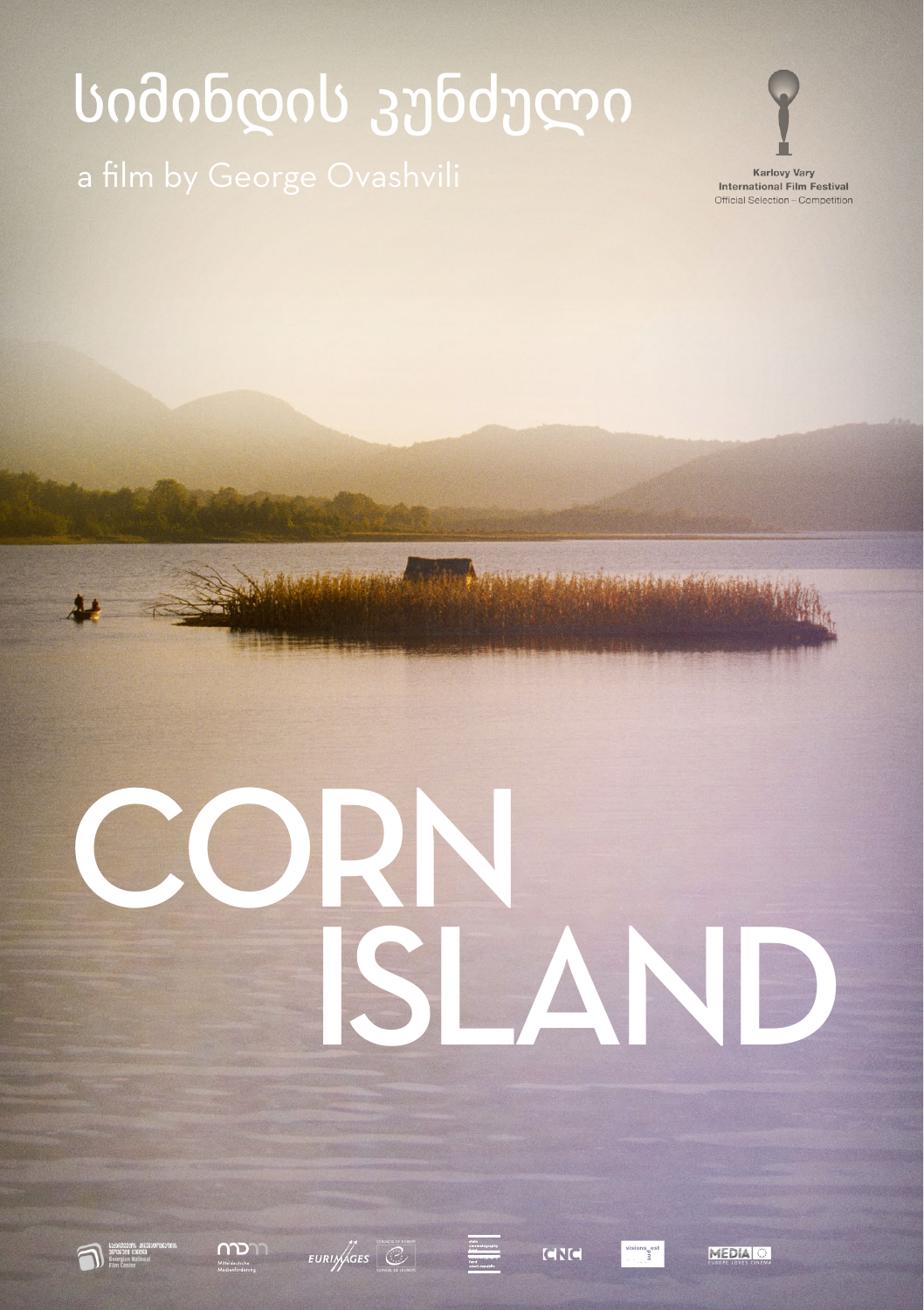# სიმინდის კუნძული



**Karlovy Vary International Film Festival** Official Selection - Competition

# Island CORN